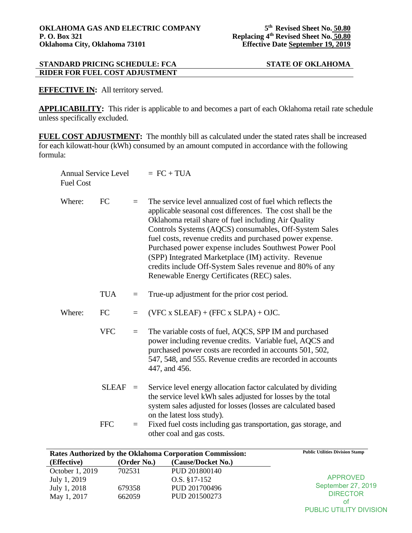**EFFECTIVE IN:** All territory served.

**APPLICABILITY:** This rider is applicable to and becomes a part of each Oklahoma retail rate schedule unless specifically excluded.

**FUEL COST ADJUSTMENT:** The monthly bill as calculated under the stated rates shall be increased for each kilowatt-hour (kWh) consumed by an amount computed in accordance with the following formula:

| <b>Annual Service Level</b><br><b>Fuel Cost</b> |          | $= FC + TUA$                                                                                                                                                                                                                                                                                                                                                                                                                                                                                                                     |
|-------------------------------------------------|----------|----------------------------------------------------------------------------------------------------------------------------------------------------------------------------------------------------------------------------------------------------------------------------------------------------------------------------------------------------------------------------------------------------------------------------------------------------------------------------------------------------------------------------------|
| FC                                              | $=$      | The service level annualized cost of fuel which reflects the<br>applicable seasonal cost differences. The cost shall be the<br>Oklahoma retail share of fuel including Air Quality<br>Controls Systems (AQCS) consumables, Off-System Sales<br>fuel costs, revenue credits and purchased power expense.<br>Purchased power expense includes Southwest Power Pool<br>(SPP) Integrated Marketplace (IM) activity. Revenue<br>credits include Off-System Sales revenue and 80% of any<br>Renewable Energy Certificates (REC) sales. |
| <b>TUA</b>                                      | $=$      | True-up adjustment for the prior cost period.                                                                                                                                                                                                                                                                                                                                                                                                                                                                                    |
| FC                                              | $=$      | $(VFC x SLEAF) + (FFC x SLPA) + OJC.$                                                                                                                                                                                                                                                                                                                                                                                                                                                                                            |
| <b>VFC</b>                                      | $=$      | The variable costs of fuel, AQCS, SPP IM and purchased<br>power including revenue credits. Variable fuel, AQCS and<br>purchased power costs are recorded in accounts 501, 502,<br>547, 548, and 555. Revenue credits are recorded in accounts<br>447, and 456.                                                                                                                                                                                                                                                                   |
| <b>SLEAF</b>                                    |          | Service level energy allocation factor calculated by dividing<br>the service level kWh sales adjusted for losses by the total<br>system sales adjusted for losses (losses are calculated based<br>on the latest loss study).                                                                                                                                                                                                                                                                                                     |
| <b>FFC</b>                                      | $\equiv$ | Fixed fuel costs including gas transportation, gas storage, and<br>other coal and gas costs.                                                                                                                                                                                                                                                                                                                                                                                                                                     |
|                                                 |          | $\equiv$                                                                                                                                                                                                                                                                                                                                                                                                                                                                                                                         |

| Rates Authorized by the Oklahoma Corporation Commission: |             | <b>Public Utilities Division Stamp</b> |                    |
|----------------------------------------------------------|-------------|----------------------------------------|--------------------|
| (Effective)                                              | (Order No.) | (Cause/Docket No.)                     |                    |
| October 1, 2019                                          | 702531      | PUD 201800140                          |                    |
| July 1, 2019                                             |             | $O.S. \$ $17-152$                      | <b>APPROVED</b>    |
| July 1, 2018                                             | 679358      | PUD 201700496                          | September 27, 2019 |
| May 1, 2017                                              | 662059      | PUD 201500273                          | <b>DIRECTOR</b>    |
|                                                          |             |                                        | οt                 |

PUBLIC UTILITY DIVISION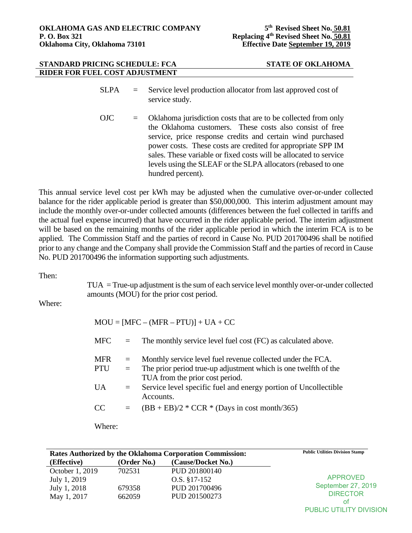- SLPA = Service level production allocator from last approved cost of service study.
- OJC = Oklahoma jurisdiction costs that are to be collected from only the Oklahoma customers. These costs also consist of free service, price response credits and certain wind purchased power costs. These costs are credited for appropriate SPP IM sales. These variable or fixed costs will be allocated to service levels using the SLEAF or the SLPA allocators (rebased to one hundred percent).

This annual service level cost per kWh may be adjusted when the cumulative over-or-under collected balance for the rider applicable period is greater than \$50,000,000. This interim adjustment amount may include the monthly over-or-under collected amounts (differences between the fuel collected in tariffs and the actual fuel expense incurred) that have occurred in the rider applicable period. The interim adjustment will be based on the remaining months of the rider applicable period in which the interim FCA is to be applied. The Commission Staff and the parties of record in Cause No. PUD 201700496 shall be notified prior to any change and the Company shall provide the Commission Staff and the parties of record in Cause No. PUD 201700496 the information supporting such adjustments.

# Then:

TUA = True-up adjustment is the sum of each service level monthly over-or-under collected amounts (MOU) for the prior cost period.

Where:

| $MOU = [MFC - (MFR - PTU)] + UA + CC$ |            |                                                                                                                                                                   |  |
|---------------------------------------|------------|-------------------------------------------------------------------------------------------------------------------------------------------------------------------|--|
| <b>MFC</b>                            | $=$        | The monthly service level fuel cost (FC) as calculated above.                                                                                                     |  |
| <b>MFR</b><br><b>PTU</b>              | $=$<br>$=$ | Monthly service level fuel revenue collected under the FCA.<br>The prior period true-up adjustment which is one twelfth of the<br>TUA from the prior cost period. |  |
| UA                                    | $=$        | Service level specific fuel and energy portion of Uncollectible<br>Accounts.                                                                                      |  |
| CC                                    | $=$        | $(BB + EB)/2 * CCR * (Days in cost month/365)$                                                                                                                    |  |
|                                       |            |                                                                                                                                                                   |  |

Where:

| Rates Authorized by the Oklahoma Corporation Commission: |             | <b>Public Utilities Division Stamp</b> |                    |
|----------------------------------------------------------|-------------|----------------------------------------|--------------------|
| (Effective)                                              | (Order No.) | (Cause/Docket No.)                     |                    |
| October 1, 2019                                          | 702531      | PUD 201800140                          |                    |
| July 1, 2019                                             |             | O.S. §17-152                           | <b>APPROVED</b>    |
| July 1, 2018                                             | 679358      | PUD 201700496                          | September 27, 2019 |
| May 1, 2017                                              | 662059      | PUD 201500273                          | <b>DIRECTOR</b>    |
|                                                          |             |                                        | οt                 |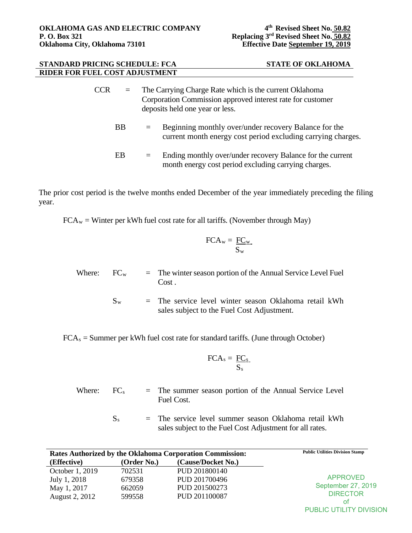- CCR = The Carrying Charge Rate which is the current Oklahoma Corporation Commission approved interest rate for customer deposits held one year or less.
	- BB  $=$  Beginning monthly over/under recovery Balance for the current month energy cost period excluding carrying charges.
	- EB = Ending monthly over/under recovery Balance for the current month energy cost period excluding carrying charges.

The prior cost period is the twelve months ended December of the year immediately preceding the filing year.

 $FCA_w =$  Winter per kWh fuel cost rate for all tariffs. (November through May)

$$
FCA_w = \frac{FC_w}{S_w}
$$

- Where:  $FC_w$  = The winter season portion of the Annual Service Level Fuel Cost .
	- $S_w$  = The service level winter season Oklahoma retail kWh sales subject to the Fuel Cost Adjustment.

 $FCA<sub>s</sub> = Summer per kWh fuel cost rate for standard tariffs. (June through October)$ 

$$
FCA_s = \frac{FC_s}{S_s}
$$

- Where:  $FC_s$  = The summer season portion of the Annual Service Level Fuel Cost.
	- $S_s$  = The service level summer season Oklahoma retail kWh sales subject to the Fuel Cost Adjustment for all rates.

|                 |             | Rates Authorized by the Oklahoma Corporation Commission: | <b>Public Utilities Division Stamp</b> |
|-----------------|-------------|----------------------------------------------------------|----------------------------------------|
| (Effective)     | (Order No.) | (Cause/Docket No.)                                       |                                        |
| October 1, 2019 | 702531      | PUD 201800140                                            |                                        |
| July 1, 2018    | 679358      | PUD 201700496                                            | <b>APPROVED</b>                        |
| May 1, 2017     | 662059      | PUD 201500273                                            | September 27, 2019                     |
| August 2, 2012  | 599558      | PUD 201100087                                            | <b>DIRECTOR</b>                        |
|                 |             |                                                          | οt                                     |

PUBLIC UTILITY DIVISION